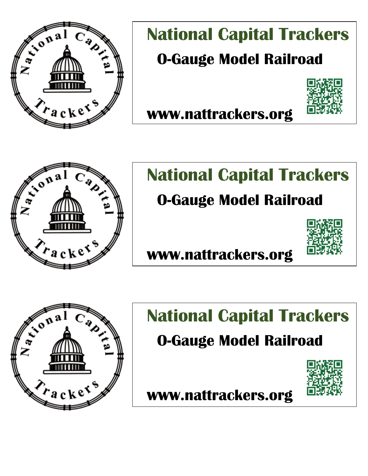

# **National Capital Trackers O-Gauge Model Railroad**



 **www.nattrackers.org** 



 $\mathbf{a}^{\mathbf{a}}$ 

# **National Capital Trackers**

### **O-Gauge Model Railroad**



 **www.nattrackers.org** 

# **National Capital Trackers**

#### aug<del>c</del> wuuti nain vau  **O-Gauge Model Railroad**



 **www.nattrackers.org**